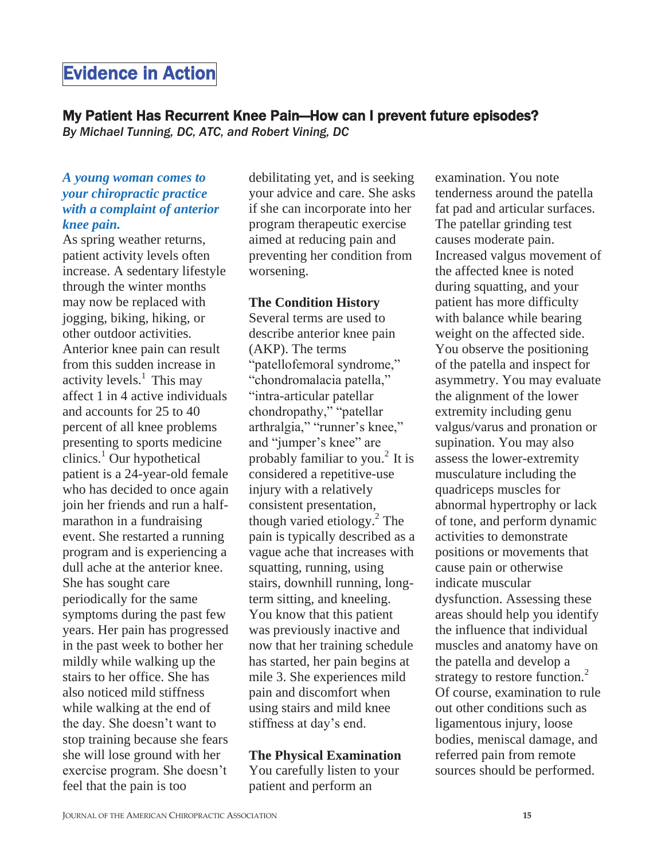# Evidence in Action

# My Patient Has Recurrent Knee Pain—How can I prevent future episodes?

*By Michael Tunning, DC, ATC, and Robert Vining, DC* 

#### *A young woman comes to your chiropractic practice with a complaint of anterior knee pain.*

As spring weather returns, patient activity levels often increase. A sedentary lifestyle through the winter months may now be replaced with jogging, biking, hiking, or other outdoor activities. Anterior knee pain can result from this sudden increase in activity levels. $<sup>1</sup>$  This may</sup> affect 1 in 4 active individuals and accounts for 25 to 40 percent of all knee problems presenting to sports medicine  $clinics.<sup>1</sup>$  Our hypothetical patient is a 24-year-old female who has decided to once again join her friends and run a halfmarathon in a fundraising event. She restarted a running program and is experiencing a dull ache at the anterior knee. She has sought care periodically for the same symptoms during the past few years. Her pain has progressed in the past week to bother her mildly while walking up the stairs to her office. She has also noticed mild stiffness while walking at the end of the day. She doesn't want to stop training because she fears she will lose ground with her exercise program. She doesn't feel that the pain is too

debilitating yet, and is seeking your advice and care. She asks if she can incorporate into her program therapeutic exercise aimed at reducing pain and preventing her condition from worsening.

#### **The Condition History**

Several terms are used to describe anterior knee pain (AKP). The terms "patellofemoral syndrome," "chondromalacia patella," "intra-articular patellar chondropathy," "patellar arthralgia," "runner's knee," and "jumper's knee" are probably familiar to you.<sup>2</sup> It is considered a repetitive-use injury with a relatively consistent presentation, though varied etiology.<sup>2</sup> The pain is typically described as a vague ache that increases with squatting, running, using stairs, downhill running, longterm sitting, and kneeling. You know that this patient was previously inactive and now that her training schedule has started, her pain begins at mile 3. She experiences mild pain and discomfort when using stairs and mild knee stiffness at day's end.

#### **The Physical Examination**

You carefully listen to your patient and perform an

examination. You note tenderness around the patella fat pad and articular surfaces. The patellar grinding test causes moderate pain. Increased valgus movement of the affected knee is noted during squatting, and your patient has more difficulty with balance while bearing weight on the affected side. You observe the positioning of the patella and inspect for asymmetry. You may evaluate the alignment of the lower extremity including genu valgus/varus and pronation or supination. You may also assess the lower-extremity musculature including the quadriceps muscles for abnormal hypertrophy or lack of tone, and perform dynamic activities to demonstrate positions or movements that cause pain or otherwise indicate muscular dysfunction. Assessing these areas should help you identify the influence that individual muscles and anatomy have on the patella and develop a strategy to restore function.<sup>2</sup> Of course, examination to rule out other conditions such as ligamentous injury, loose bodies, meniscal damage, and referred pain from remote sources should be performed.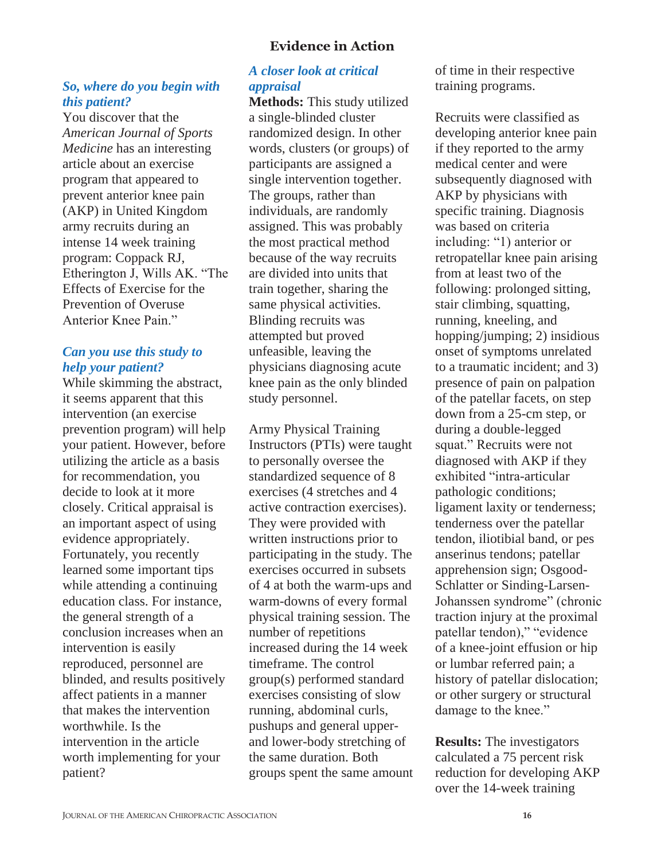# **Evidence in Action**

#### *So, where do you begin with this patient?*

You discover that the *American Journal of Sports Medicine* has an interesting article about an exercise program that appeared to prevent anterior knee pain (AKP) in United Kingdom army recruits during an intense 14 week training program: Coppack RJ, Etherington J, Wills AK. "The Effects of Exercise for the Prevention of Overuse Anterior Knee Pain."

# *Can you use this study to help your patient?*

While skimming the abstract, it seems apparent that this intervention (an exercise prevention program) will help your patient. However, before utilizing the article as a basis for recommendation, you decide to look at it more closely. Critical appraisal is an important aspect of using evidence appropriately. Fortunately, you recently learned some important tips while attending a continuing education class. For instance, the general strength of a conclusion increases when an intervention is easily reproduced, personnel are blinded, and results positively affect patients in a manner that makes the intervention worthwhile. Is the intervention in the article worth implementing for your patient?

# *A closer look at critical appraisal*

**Methods:** This study utilized a single-blinded cluster randomized design. In other words, clusters (or groups) of participants are assigned a single intervention together. The groups, rather than individuals, are randomly assigned. This was probably the most practical method because of the way recruits are divided into units that train together, sharing the same physical activities. Blinding recruits was attempted but proved unfeasible, leaving the physicians diagnosing acute knee pain as the only blinded study personnel.

Army Physical Training Instructors (PTIs) were taught to personally oversee the standardized sequence of 8 exercises (4 stretches and 4 active contraction exercises). They were provided with written instructions prior to participating in the study. The exercises occurred in subsets of 4 at both the warm-ups and warm-downs of every formal physical training session. The number of repetitions increased during the 14 week timeframe. The control group(s) performed standard exercises consisting of slow running, abdominal curls, pushups and general upperand lower-body stretching of the same duration. Both groups spent the same amount

of time in their respective training programs.

Recruits were classified as developing anterior knee pain if they reported to the army medical center and were subsequently diagnosed with AKP by physicians with specific training. Diagnosis was based on criteria including: "1) anterior or retropatellar knee pain arising from at least two of the following: prolonged sitting, stair climbing, squatting, running, kneeling, and hopping/jumping; 2) insidious onset of symptoms unrelated to a traumatic incident; and 3) presence of pain on palpation of the patellar facets, on step down from a 25-cm step, or during a double-legged squat." Recruits were not diagnosed with AKP if they exhibited "intra-articular pathologic conditions; ligament laxity or tenderness; tenderness over the patellar tendon, iliotibial band, or pes anserinus tendons; patellar apprehension sign; Osgood-Schlatter or Sinding-Larsen-Johanssen syndrome" (chronic traction injury at the proximal patellar tendon)," "evidence of a knee-joint effusion or hip or lumbar referred pain; a history of patellar dislocation; or other surgery or structural damage to the knee."

**Results:** The investigators calculated a 75 percent risk reduction for developing AKP over the 14-week training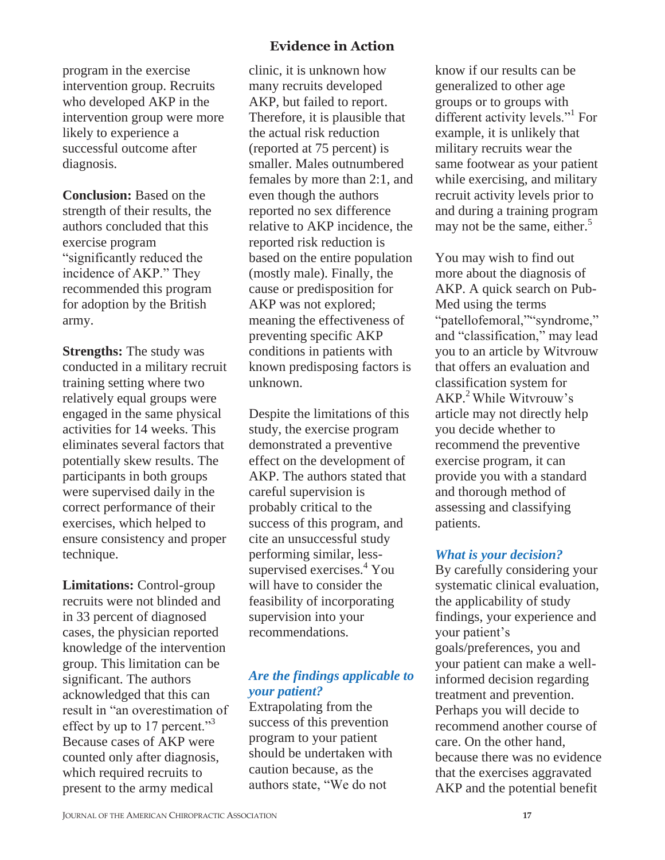program in the exercise intervention group. Recruits who developed AKP in the intervention group were more likely to experience a successful outcome after diagnosis.

**Conclusion:** Based on the strength of their results, the authors concluded that this exercise program "significantly reduced the incidence of AKP." They recommended this program for adoption by the British army.

**Strengths:** The study was conducted in a military recruit training setting where two relatively equal groups were engaged in the same physical activities for 14 weeks. This eliminates several factors that potentially skew results. The participants in both groups were supervised daily in the correct performance of their exercises, which helped to ensure consistency and proper technique.

**Limitations:** Control-group recruits were not blinded and in 33 percent of diagnosed cases, the physician reported knowledge of the intervention group. This limitation can be significant. The authors acknowledged that this can result in "an overestimation of effect by up to 17 percent."<sup>3</sup> Because cases of AKP were counted only after diagnosis, which required recruits to present to the army medical

# **Evidence in Action**

clinic, it is unknown how many recruits developed AKP, but failed to report. Therefore, it is plausible that the actual risk reduction (reported at 75 percent) is smaller. Males outnumbered females by more than 2:1, and even though the authors reported no sex difference relative to AKP incidence, the reported risk reduction is based on the entire population (mostly male). Finally, the cause or predisposition for AKP was not explored; meaning the effectiveness of preventing specific AKP conditions in patients with known predisposing factors is unknown.

Despite the limitations of this study, the exercise program demonstrated a preventive effect on the development of AKP. The authors stated that careful supervision is probably critical to the success of this program, and cite an unsuccessful study performing similar, lesssupervised exercises.<sup>4</sup> You will have to consider the feasibility of incorporating supervision into your recommendations.

# *Are the findings applicable to your patient?*

Extrapolating from the success of this prevention program to your patient should be undertaken with caution because, as the authors state, "We do not

know if our results can be generalized to other age groups or to groups with different activity levels."<sup>1</sup> For example, it is unlikely that military recruits wear the same footwear as your patient while exercising, and military recruit activity levels prior to and during a training program may not be the same, either.<sup>5</sup>

You may wish to find out more about the diagnosis of AKP. A quick search on Pub-Med using the terms "patellofemoral,""syndrome," and "classification," may lead you to an article by Witvrouw that offers an evaluation and classification system for AKP.<sup>2</sup>While Witvrouw's article may not directly help you decide whether to recommend the preventive exercise program, it can provide you with a standard and thorough method of assessing and classifying patients.

#### *What is your decision?*

By carefully considering your systematic clinical evaluation, the applicability of study findings, your experience and your patient's goals/preferences, you and your patient can make a wellinformed decision regarding treatment and prevention. Perhaps you will decide to recommend another course of care. On the other hand, because there was no evidence that the exercises aggravated AKP and the potential benefit